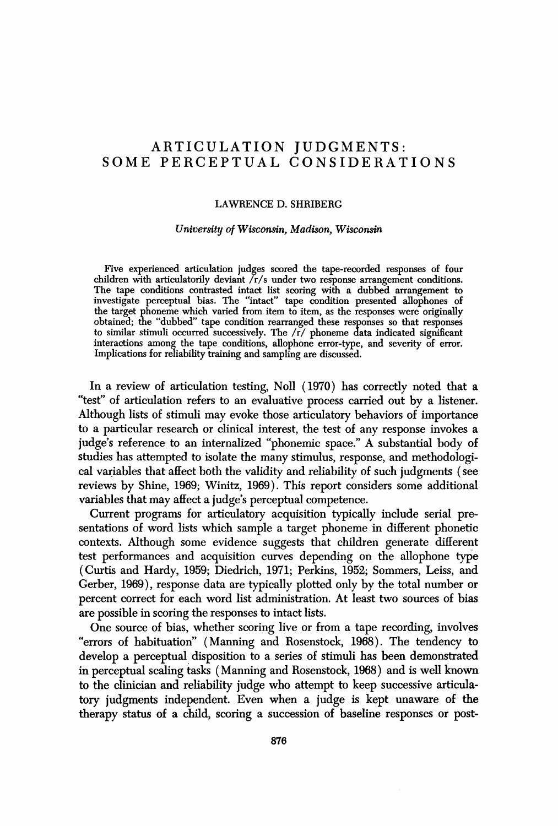## ARTICULATION JUDGMENTS: SOME PERCEPTUAL CONSIDERATIONS

#### LAWRENCE D. SHRIBERG

#### *University of Wisconsin, Madison, Wisconsin*

Five experienced articulation iudges scored the tape-recorded responses of four children with articulatorily deviant  $\sum r/s$  under two response arrangement conditions. The tape conditions contrasted intact list scoring with a dubbed arrangement to investigate perceptual bias. The "intact" tape condition presented allophones of the target phoneme which varied from item to item, as the responses were originally obtained; the "dubbed" tape condition rearranged these responses so that responses to similar stimuli occurred successively. The/r/phoneme data indicated significant interactions among the tape conditions, allophone error-type, and severity of error. Implications for reliability training and sampling are discussed.

In a review of articulation testing, Noll (1970) has correctly noted that a "test" of articulation refers to an evaluative process carried out by a listener. Although lists of stimuli may evoke those articulatory behaviors of importance to a particular research or clinical interest, the test of any response invokes a iudge's reference to an internalized "phonemic space." A substantial body of studies has attempted to isolate the many stimulus, response, and methodological variables that affect both the validity and reliability of such iudgments (see reviews by Shine, 1969; Winitz, 1969). This report considers some additional variables that may affect a iudge's perceptual competence.

Current programs for articulatory acquisition typically include serial presentations of word lists which sample a target phoneme in different phonetic contexts. Although some evidence suggests that children generate different test performances and acquisition curves depending on the allophone type (Curtis and Hardy, 1959; Diedrich, 1971; Perkins, 1952; Sommers, Leiss, and Gerber, 1969), response data are typically plotted only by the total number or percent correct for each word list administration. At least two sources of bias are possible in scoring the responses to intact lists.

One source of bias, whether scoring live or from a tape recording, involves "errors of habituation" (Manning and Rosenstock, 1968). The tendency to develop a perceptual disposition to a series of stimuli has been demonstrated in perceptual scaling tasks (Manning and Rosenstock, 1968) and is well known to the clinician and reliability iudge who attempt to keep successive articulatory iudgments independent. Even when a iudge is kept unaware of the therapy status of a child, scoring a succession of baseline responses or post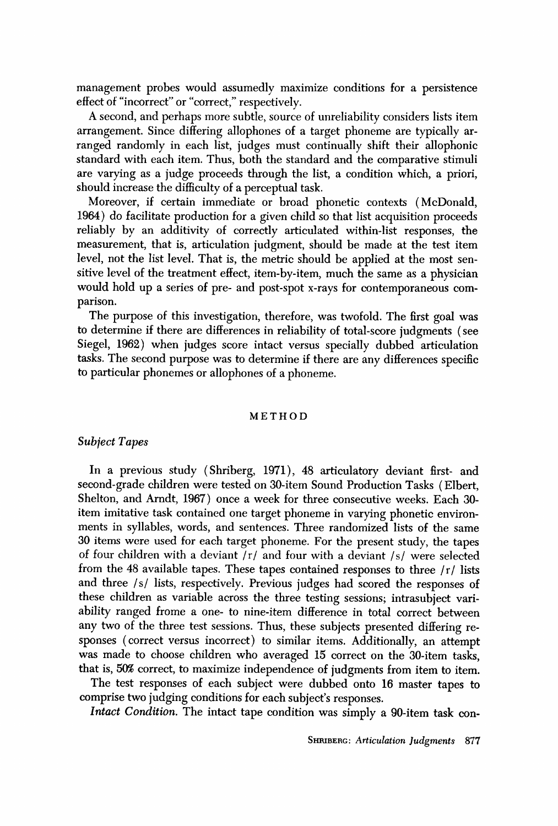management probes would assumedly maximize conditions for a persistence effect of "incorrect" or "correct," respectively.

A second, and perhaps more subtle, source of unreliability considers lists item arrangement. Since differing allophones of a target phoneme are typically arranged randomly in each list, judges must continually shift their allophonic standard with each item. Thus, both the standard and the comparative stimuli are varying as a judge proceeds through the list, a condition which, a priori, should increase the difficulty of a perceptual task.

Moreover, if certain immediate or broad phonetic contexts (McDonald, 1964) do facilitate production for a given child so that list acquisition proceeds reliably by an additivity of correctly articulated within-list responses, the measurement, that is, articulation judgment, should be made at the test item level, not the list level. That is, the metric should be applied at the most sensitive level of the treatment effect, item-by-item, much the same as a physician would hold up a series of pre- and post-spot x-rays for contemporaneous comparison.

The purpose of this investigation, therefore, was twofold. The first goal was to determine if there are differences in reliability of total-score judgments (see Siegel, 1962) when judges score intact versus specially dubbed articulation tasks. The second purpose was to determine if there are any differences specific to particular phonemes or allophones of a phoneme.

#### METHOD

## *Subiect Tapes*

In a previous study (Shriberg, 1971), 48 articulatory deviant first- and second-grade children were tested on 30-item Sound Production Tasks (Elbert, Shelton, and Arndt, 1967) once a week for three consecutive weeks. Each 30 item imitative task contained one target phoneme in varying phonetic environments in syllables, words, and sentences. Three randomized lists of the same 30 items were used for each target phoneme. For the present study, the tapes of four children with a deviant  $/r/$  and four with a deviant  $/s/$  were selected from the 48 available tapes. These tapes contained responses to three  $/r/$  lists and three /s/ lists, respectively. Previous judges had scored the responses of these children as variable across the three testing sessions; intrasubject variability ranged frome a one- to nine-item difference in total correct between any two of the three test sessions. Thus, these subjects presented differing responses (correct versus incorrect) to similar items. Additionally, an attempt was made to choose children who averaged 15 correct on the 30-item tasks, that is, 50% correct, to maximize independence of judgments from item to item.

The test responses of each subject were dubbed onto 16 master tapes to comprise two judging conditions for each subject's responses.

*Intact Condition.* The intact tape condition was simply a 90-item task con-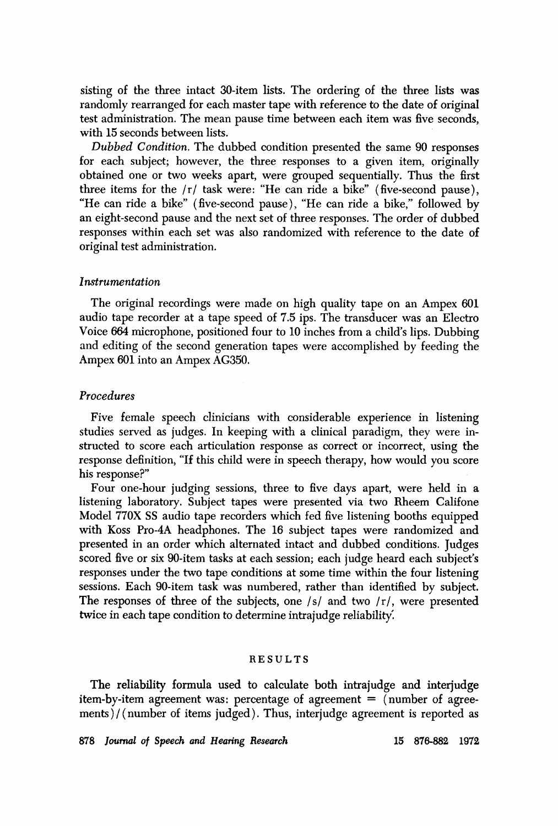sisting of the three intact 30-item lists. The ordering of the three lists was randomly rearranged for each master tape with reference to the date of original test administration. The mean pause time between each item was five seconds, with 15 seconds between lists.

*Dubbed Condition.* The dubbed condition presented the same 90 responses for each subiect; however, the three responses to a given item, originally obtained one or two weeks apart, were grouped sequentially. Thus the first three items for the /r/ task were: "He can ride a bike" (five-second pause), "He can ride a bike" (five-second pause), "He can ride a bike," followed by an eight-second pause and the next set of three responses. The order of dubbed responses within each set was also randomized with reference to the date of original test administration.

## *Instrumentation*

The original recordings were made on high quality tape on an Ampex 601 audio tape recorder at a tape speed of 7.5 ips. The transducer was an Electro Voice 664 microphone, positioned four to 10 inches from a child's lips. Dubbing and editing of the second generation tapes were accomplished by feeding the Ampex 601 into an Ampex AG350.

## *Procedures*

Five female speech clinicians with considerable experience in listening studies served as iudges. In keeping with a clinical paradigm, they were instructed to score each articulation response as correct or incorrect, using the response definition, "If this child were in speech therapy, how would you score his response?"

Four one-hour iudging sessions, three to five days apart, were held in a listening laboratory. Subject tapes were presented via two Rheem Califone Model 770X SS audio tape recorders which fed five listening booths equipped with Koss Pro-4A headphones. The 16 subiect tapes were randomized and presented in an order which alternated intact and dubbed conditions. Judges scored five or six 90-item tasks at each session; each iudge heard each subiect's responses under the two tape conditions at some time within the four listening sessions. Each 90-item task was numbered, rather than identified by subiect. The responses of three of the subjects, one  $\sqrt{s}$  and two  $\sqrt{r}$ , were presented twice in each tape condition to determine intrajudge reliability.

## RESULTS

The reliability formula used to calculate both intrajudge and interjudge item-by-item agreement was: percentage of agreement  $=$  (number of agreements)/(number of items judged). Thus, interjudge agreement is reported as

878 *Ioumal o~ Speech and Hearing Research* 15 876-882 1972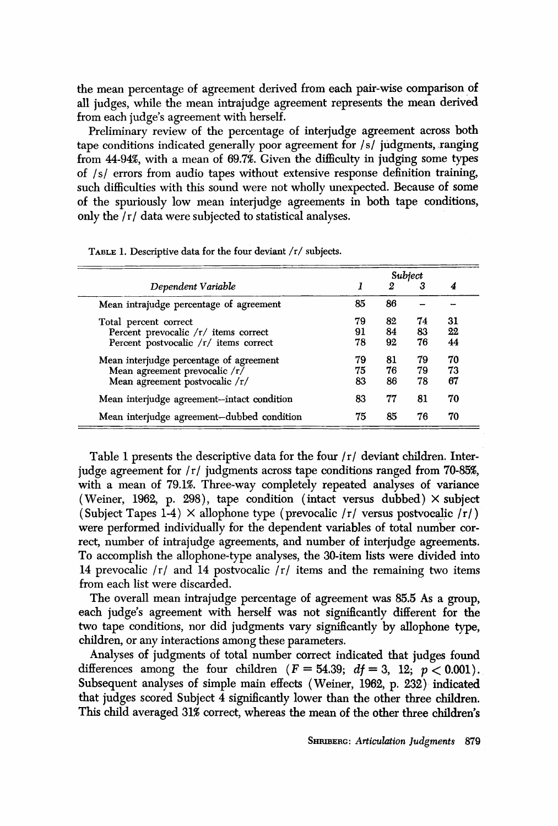the mean percentage of agreement derived from each pair-wise comparison of all judges, while the mean intrajudge agreement represents the mean derived from each judge's agreement with herself.

Preliminary review of the percentage of interjudge agreement across both tape conditions indicated generally poor agreement for/s/judgments, ranging from 44-94%, with a mean of 69.7%. Given the difficulty in judging some types of /s/ errors from audio tapes without extensive response definition training, such difficulties with this sound were not wholly unexpected. Because of some of the spuriously low mean interjudge agreements in both tape conditions, only the /r/data were subjected to statistical analyses.

| Dependent Variable                         | Subject |    |    |    |
|--------------------------------------------|---------|----|----|----|
|                                            |         | 2  | 3  | 4  |
| Mean intrajudge percentage of agreement    | 85      | 86 |    |    |
| Total percent correct                      | 79      | 82 | 74 | 31 |
| Percent prevocalic /r/ items correct       | 91      | 84 | 83 | 22 |
| Percent postvocalic /r/ items correct      | 78      | 92 | 76 | 44 |
| Mean interjudge percentage of agreement    | 79      | 81 | 79 | 70 |
| Mean agreement prevocalic /r/              | 75      | 76 | 79 | 73 |
| Mean agreement postvocalic /r/             | 83      | 86 | 78 | 67 |
| Mean interjudge agreement-intact condition | 83      | 77 | 81 | 70 |
| Mean interjudge agreement-dubbed condition | 75      | 85 | 76 | 70 |

TABLE 1. Descriptive data for the four deviant  $/r/$  subjects.

Table 1 presents the descriptive data for the four  $\frac{r}{r}$  deviant children. Interjudge agreement for  $\frac{r}{i}$  judgments across tape conditions ranged from 70-85%, with a mean of 79.1%. Three-way completely repeated analyses of variance (Weiner, 1962, p. 298), tape condition (intact versus dubbed)  $\times$  subject (Subject Tapes 1-4)  $\times$  allophone type (prevocalic /r/ versus postvocalic /r/) were performed individually for the dependent variables of total number correct, number of intrajudge agreements, and number of interjudge agreements. To accomplish the allophone-type analyses, the 30-item lists were divided into 14 prevocalic  $/r/$  and 14 postvocalic  $/r/$  items and the remaining two items from each list were discarded.

The overall mean intrajudge percentage of agreement was 85.5 As a group, each judge's agreement with herself was not significantly different for the two tape conditions, nor did judgments vary significantly by allophone type, children, or any interactions among these parameters.

Analyses of judgments of total number correct indicated that judges found differences among the four children  $(F = 54.39; df = 3, 12; p < 0.001)$ . Subsequent analyses of simple main effects (Weiner, 1962, p. 232) indicated that judges scored Subject 4 significantly lower than the other three children. This child averaged 31% correct, whereas the mean of the other three children's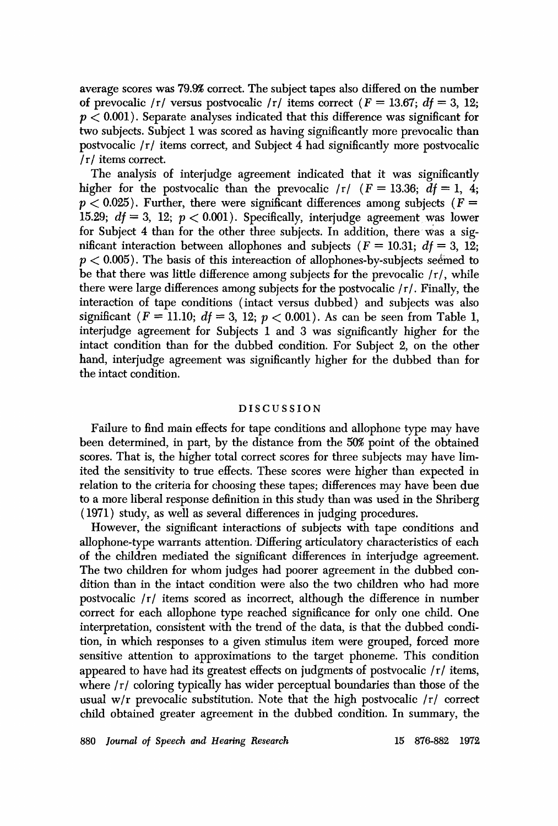average scores was 79.9% correct. The subject tapes also differed on the number of prevocalic /r/ versus postvocalic /r/ items correct ( $F = 13.67$ ;  $df = 3$ , 12;  $p < 0.001$ ). Separate analyses indicated that this difference was significant for two subjects. Subject 1 was scored as having significantly more prevocalic than postvocalic  $/r/$  items correct, and Subject 4 had significantly more postvocalic /r/items correct.

The analysis of interjudge agreement indicated that it was significantly higher for the postvocalic than the prevocalic  $\Gamma$  / ( $F = 13.36$ ;  $df = 1$ , 4;  $p < 0.025$ ). Further, there were significant differences among subjects ( $F =$ 15.29;  $df = 3$ , 12;  $p < 0.001$ ). Specifically, interjudge agreement was lower for Subject 4 than for the other three subjects. In addition, there was a significant interaction between allophones and subjects ( $F = 10.31$ ;  $df = 3$ , 12;  $p < 0.005$ ). The basis of this intereaction of allophones-by-subjects seemed to be that there was little difference among subjects for the prevocalic  $\langle r \rangle$ , while there were large differences among subjects for the postvocalic /r/. Finally, the interaction of tape conditions (intact versus dubbed) and subjects was also significant ( $F = 11.10$ ;  $df = 3$ , 12;  $p < 0.001$ ). As can be seen from Table 1, interjudge agreement for Subjects 1 and 3 was significantly higher for the intact condition than for the dubbed condition. For Subject 2, on the other hand, interjudge agreement was significantly higher for the dubbed than for the intact condition.

#### DISCUSSION

Failure to find main effects for tape conditions and allophone type may have been determined, in part, by the distance from the 50% point of the obtained scores. That is, the higher total correct scores for three subjects may have limited the sensitivity to true effects. These scores were higher than expected in relation to the criteria for choosing these tapes; differences may have been due to a more liberal response definition in this study than was used in the Shriberg (1971) study, as well as several differences in judging procedures.

However, the significant interactions of subjects with tape conditions and allophone-type warrants attention. 'Differing articulatory characteristics of each of the children mediated the significant differences in interjudge agreement. The two children for whom judges had poorer agreement in the dubbed condition than in the intact condition were also the two children who had more postvocalic /r/ items scored as incorrect, although the difference in number correct for each allophone type reached significance for only one child. One interpretation, consistent with the trend of the data, is that the dubbed condition, in which responses to a given stimulus item were grouped, forced more sensitive attention to approximations to the target phoneme. This condition appeared to have had its greatest effects on judgments of postvocalic /r/ items, where  $\frac{r}{c}$  coloring typically has wider perceptual boundaries than those of the usual w/r prevocalic substitution. Note that the high postvocalic /r/ correct child obtained greater agreement in the dubbed condition. In summary, the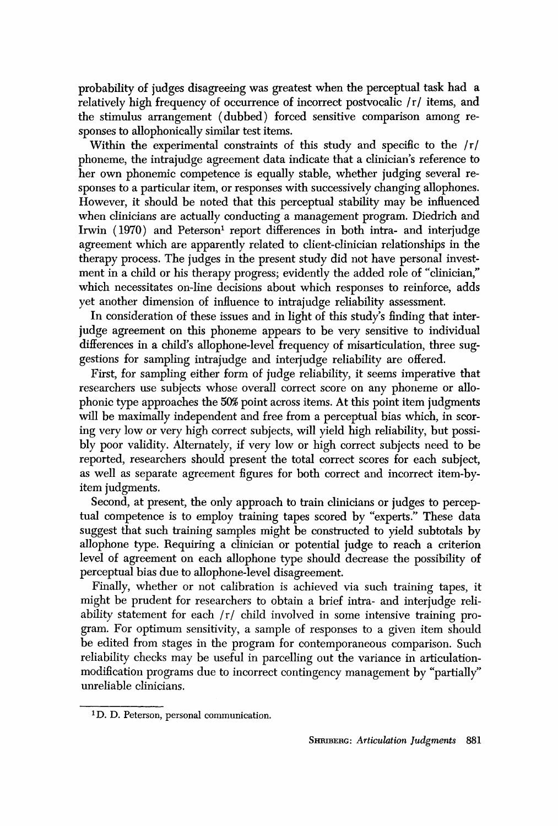probability of judges disagreeing was greatest when the perceptual task had a relatively high frequency of occurrence of incorrect postvocalic /r/ items, and the stimulus arrangement (dubbed) forced sensitive comparison among responses to allophonically similar test items.

Within the experimental constraints of this study and specific to the /r/ phoneme, the intraiudge agreement data indicate that a clinician's reference to her own phonemic competence is equally stable, whether iudging several responses to a particular item, or responses with successively changing allophones. However, it should be noted that this perceptual stability may be influenced when clinicians are actually conducting a management program. Diedrich and Irwin  $(1970)$  and Peterson<sup>1</sup> report differences in both intra- and interjudge agreement which are apparently related to client-clinician relationships in the therapy process. The iudges in the present study did not have personal investment in a child or his therapy progress; evidently the added role of "clinician," which necessitates on-line decisions about which responses to reinforce, adds yet another dimension of influence to intraiudge reliability assessment.

In consideration of these issues and in light of this study's finding that interjudge agreement on this phoneme appears to be very sensitive to individual differences in a child's allophone-level frequency of misarticulation, three suggestions for sampling intrajudge and interjudge reliability are offered.

First, for sampling either form of iudge reliability, it seems imperative that researchers use subjects whose overall correct score on any phoneme or allophonic type approaches the 50% point across items. At this point item judgments will be maximally independent and free from a perceptual bias which, in scoring very low or very high correct subiects, will yield high reliability, but possibly poor validity. Alternately, if very low or high correct subiects need to be reported, researchers should present the total correct scores for each subject, as well as separate agreement figures for both correct and incorrect item-byitem iudgments.

Second, at present, the only approach to train clinicians or iudges to perceptual competence is to employ training tapes scored by "experts." These data suggest that such training samples might be constructed to yield subtotals by allophone type. Requiring a clinician or potential iudge to reach a criterion level of agreement on each allophone type should decrease the possibility of perceptual bias due to allophone-level disagreement.

Finally, whether or not calibration is achieved via such training tapes, it might be prudent for researchers to obtain a brief intra- and interiudge reliability statement for each /r/ child involved in some intensive training program. For optimum sensitivity, a sample of responses to a given item should be edited from stages in the program for contemporaneous comparison. Such reliability checks may be useful in parcelling out the variance in articulationmodification programs due to incorrect contingency management by "partially" unreliable clinicians.

<sup>1</sup> D. D. Peterson, personal communication.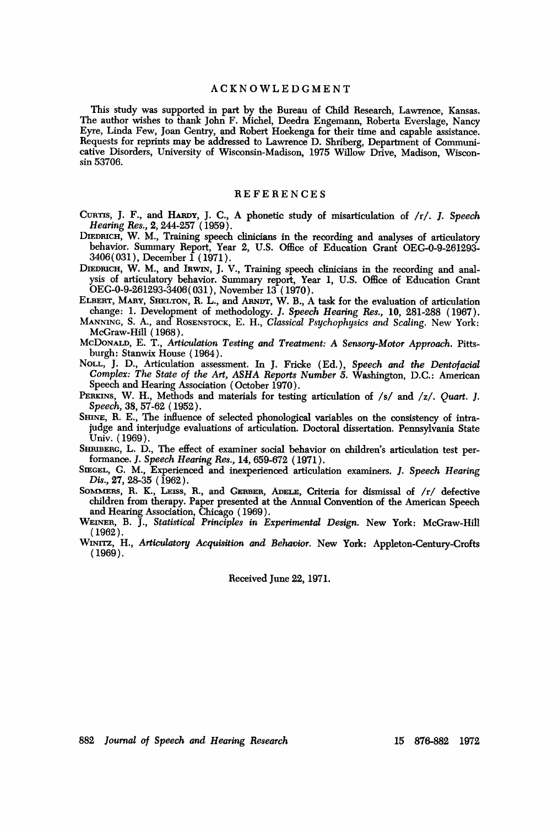#### ACKNOWLEDGMENT

This study was supported in part by the Bureau of Child Research, Lawrence, Kansas. The author wishes to thank John F. Michel, Deedra Engemann, Roberta Everslage, Nancy Eyre, Linda Few, Joan Gentry, and Robert Hoekenga for their time and capable assistance. Requests for reprints may be addressed to Lawrence D. Shriberg, Department of Communicative Disorders, University of Wisconsin-Madison, 1975 Willow Drive, Madison, Wisconsin 53706.

## **REFERENCES**

CURTIS, J. F., and HARDY, J. C., A phonetic study of misarticulation of /r/. J. Speech *Hearing Res.,* 2, 244-257 (1959).

DIEDRICH, W. M., Training speech clinicians in the recording and analyses of articulatory behavior. Summary Report, Year 2, U.S. Office of Education Grant OEG-0-9-261293-3406(031 ), December 1 ( 1971 ).

DIEDRICH, W. M., and Inwin, J. V., Training speech clinicians in the recording and analysis of articulatory behavior. Summary report, Year 1, U.S. Office of Education Grant OEG-0-9-261293-3406(031), November 13 (1970).

ELBERT, MANY, SHELTON, R. L., and AaND'r, W. B., A task for the evaluation of articulation change: 1. Development of methodology. *1. Speech Hearing Res.,* 10, 281-288 (1967).

MANNING, S. A., and ROSENSTOCK, E. H., *Classical Psychophysics and Scaling*. New York: McGraw-HiU (1968).

McDoNALD, E. T., *Articulation Testing and Treatment: A Sensory-Motor Approach.* Pittsburgh: Stanwix House (1964).

NOLL, J. D., Articulation assessment. In J. Frieke (Ed.), *Speech and the Dentofacial Complex: The State of the Art, ASHA Reports Number 5.* Washington, D.C.: American Speech and Hearing Association ( October 1970).

PERKINS, W. H., Methods and materials for testing articulation of /s/ and /z/. *Quart. J. Speech,* 38, 57-62 ( 1952 ).

SHINE, R. E., The influence of selected phonological variables on the consistency of intrajudge and interjudge evaluations of articulation. Doctoral dissertation. Pennsylvania State Univ. (1969).

SHRIBERG, L. D., The effect of examiner social behavior on children's articulation test performanee. *1. Speech Hearing Res.,* 14, 659-672 (1971).

SIEGEL, G. M., Experienced and inexperienced articulation examiners. *J. Speech Hearing Dis.,* 27, 28-35 (1962).

SOMMERS, R. K., LEISS, R., and GERBER, ADELE, Criteria for dismissal of /r/ defective children from therapy. Paper presented at the Annual Convention of the American Speech and Hearing Association, Chicago ( 1969 ).

WEINER, B. J., Statistical Principles in Experimental Design. New York: McGraw-Hill (1962).

WXNXTZ, H., *Articulatory Acquisition and Behavior.* New York: Appleton-Century-Crofts (1969).

Received June 22, 1971.